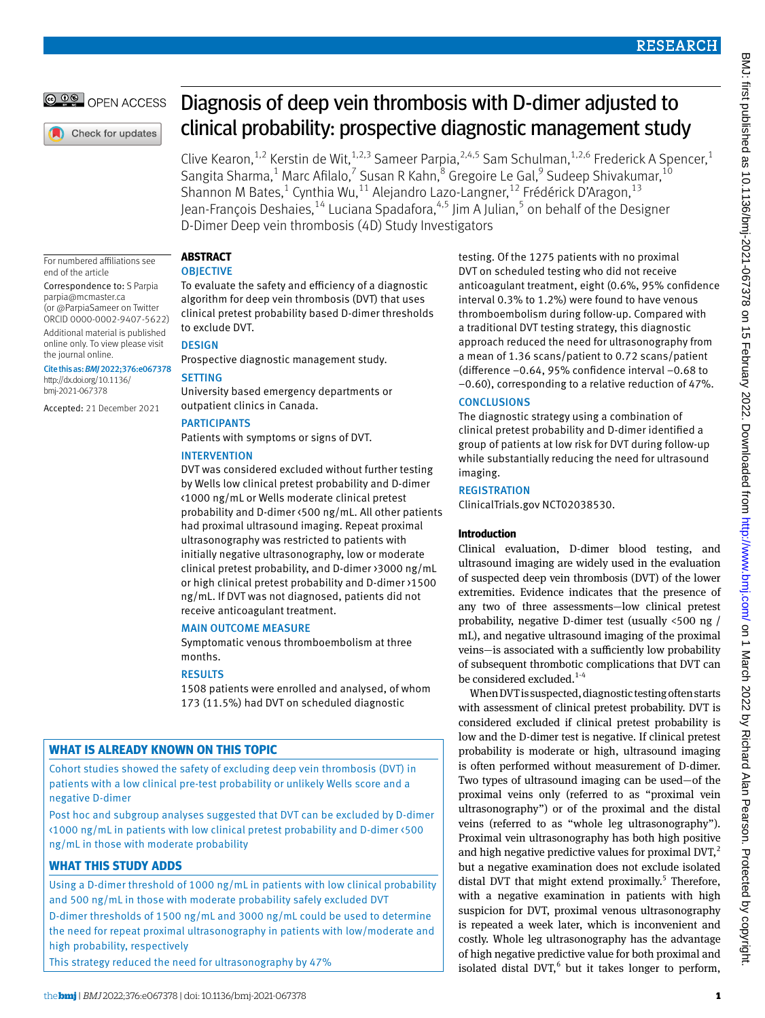# OPEN ACCESS

Check for updates

# Diagnosis of deep vein thrombosis with D-dimer adjusted to clinical probability: prospective diagnostic management study

Clive Kearon,  $1,2$  Kerstin de Wit,  $1,2,3$  Sameer Parpia,  $2,4,5$  Sam Schulman,  $1,2,6$  Frederick A Spencer,  $1$ Sangita Sharma,<sup>1</sup> Marc Afilalo,<sup>7</sup> Susan R Kahn,<sup>8</sup> Gregoire Le Gal,<sup>9</sup> Sudeep Shivakumar,<sup>10</sup> Shannon M Bates,<sup>1</sup> Cynthia Wu,<sup>11</sup> Alejandro Lazo-Langner,<sup>12</sup> Frédérick D'Aragon,<sup>13</sup> Jean-François Deshaies, $^{14}$  Luciana Spadafora, $^{4,5}$  Jim A Julian, $^5$  on behalf of the Designer D-Dimer Deep vein thrombosis (4D) Study Investigators

For numbered affiliations see end of the article

Correspondence to: S Parpia [parpia@mcmaster.ca](mailto:parpia@mcmaster.ca)  (or [@ParpiaSameer](https://twitter.com/ParpiaSameer) on Twitter

ORCID [0000-0002-9407-5622\)](https://orcid.org/0000-0002-9407-5622) Additional material is published online only. To view please visit

the journal online. Cite this as: *BMJ*2022;376:e067378

[http://dx.doi.org/10.1136/](https://dx.doi.org/10.1136/bmj-2021-067378) [bmj-2021-067378](https://dx.doi.org/10.1136/bmj-2021-067378)

Accepted: 21 December 2021

# **Abstract**

# **OBJECTIVE**

To evaluate the safety and efficiency of a diagnostic algorithm for deep vein thrombosis (DVT) that uses clinical pretest probability based D-dimer thresholds to exclude DVT.

# **DESIGN**

Prospective diagnostic management study.

# **SETTING**

University based emergency departments or outpatient clinics in Canada.

# **PARTICIPANTS**

Patients with symptoms or signs of DVT.

# **INTERVENTION**

DVT was considered excluded without further testing by Wells low clinical pretest probability and D-dimer <1000 ng/mL or Wells moderate clinical pretest probability and D-dimer <500 ng/mL. All other patients had proximal ultrasound imaging. Repeat proximal ultrasonography was restricted to patients with initially negative ultrasonography, low or moderate clinical pretest probability, and D-dimer >3000 ng/mL or high clinical pretest probability and D-dimer >1500 ng/mL. If DVT was not diagnosed, patients did not receive anticoagulant treatment.

## Main outcome measure

Symptomatic venous thromboembolism at three months.

## **RESULTS**

1508 patients were enrolled and analysed, of whom 173 (11.5%) had DVT on scheduled diagnostic

# **What is already known on this topic**

Cohort studies showed the safety of excluding deep vein thrombosis (DVT) in patients with a low clinical pre-test probability or unlikely Wells score and a negative D-dimer

Post hoc and subgroup analyses suggested that DVT can be excluded by D-dimer <1000 ng/mL in patients with low clinical pretest probability and D-dimer <500 ng/mL in those with moderate probability

# **What this study adds**

Using a D-dimer threshold of 1000 ng/mL in patients with low clinical probability and 500 ng/mL in those with moderate probability safely excluded DVT

D-dimer thresholds of 1500 ng/mL and 3000 ng/mL could be used to determine the need for repeat proximal ultrasonography in patients with low/moderate and high probability, respectively

This strategy reduced the need for ultrasonography by 47%

testing. Of the 1275 patients with no proximal DVT on scheduled testing who did not receive anticoagulant treatment, eight (0.6%, 95% confidence interval 0.3% to 1.2%) were found to have venous thromboembolism during follow-up. Compared with a traditional DVT testing strategy, this diagnostic approach reduced the need for ultrasonography from a mean of 1.36 scans/patient to 0.72 scans/patient (difference −0.64, 95% confidence interval −0.68 to −0.60), corresponding to a relative reduction of 47%.

# **CONCLUSIONS**

The diagnostic strategy using a combination of clinical pretest probability and D-dimer identified a group of patients at low risk for DVT during follow-up while substantially reducing the need for ultrasound imaging.

# **REGISTRATION**

ClinicalTrials.gov [NCT02038530.](file:///D:\BMJ%20Non%20Kriya\BMJ%20Academic\Articles\2022\bmj-2021-067378\Pre-editing\NCT02038530)

# **Introduction**

Clinical evaluation, D-dimer blood testing, and ultrasound imaging are widely used in the evaluation of suspected deep vein thrombosis (DVT) of the lower extremities. Evidence indicates that the presence of any two of three assessments—low clinical pretest probability, negative D-dimer test (usually <500 ng / mL), and negative ultrasound imaging of the proximal veins—is associated with a sufficiently low probability of subsequent thrombotic complications that DVT can be considered excluded.<sup>1-4</sup>

When DVT is suspected, diagnostic testing often starts with assessment of clinical pretest probability. DVT is considered excluded if clinical pretest probability is low and the D-dimer test is negative. If clinical pretest probability is moderate or high, ultrasound imaging is often performed without measurement of D-dimer. Two types of ultrasound imaging can be used—of the proximal veins only (referred to as "proximal vein ultrasonography") or of the proximal and the distal veins (referred to as "whole leg ultrasonography"). Proximal vein ultrasonography has both high positive and high negative predictive values for proximal  $DVT$ ,<sup>2</sup> but a negative examination does not exclude isolated distal DVT that might extend proximally.<sup>5</sup> Therefore, with a negative examination in patients with high suspicion for DVT, proximal venous ultrasonography is repeated a week later, which is inconvenient and costly. Whole leg ultrasonography has the advantage of high negative predictive value for both proximal and isolated distal DVT, $<sup>6</sup>$  but it takes longer to perform,</sup>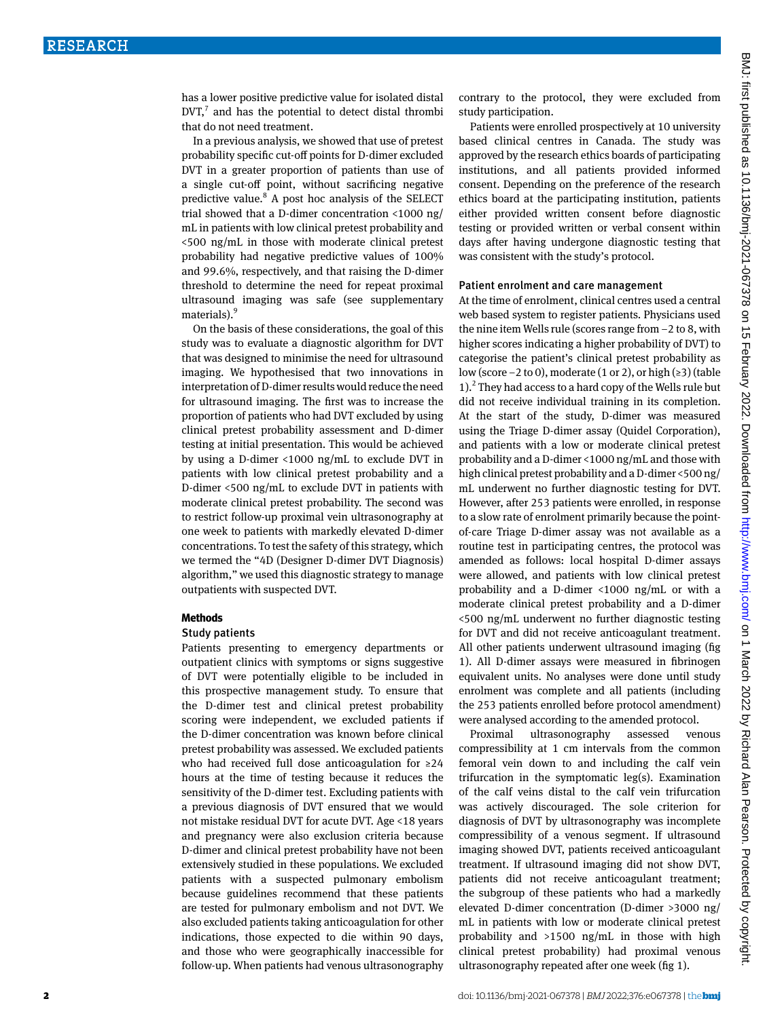has a lower positive predictive value for isolated distal  $DVT<sub>1</sub><sup>7</sup>$  and has the potential to detect distal thrombi that do not need treatment.

In a previous analysis, we showed that use of pretest probability specific cut-off points for D-dimer excluded DVT in a greater proportion of patients than use of a single cut-off point, without sacrificing negative predictive value.<sup>8</sup> A post hoc analysis of the SELECT trial showed that a D-dimer concentration <1000 ng/ mL in patients with low clinical pretest probability and <500 ng/mL in those with moderate clinical pretest probability had negative predictive values of 100% and 99.6%, respectively, and that raising the D-dimer threshold to determine the need for repeat proximal ultrasound imaging was safe (see supplementary materials).<sup>9</sup>

On the basis of these considerations, the goal of this study was to evaluate a diagnostic algorithm for DVT that was designed to minimise the need for ultrasound imaging. We hypothesised that two innovations in interpretation of D-dimer results would reduce the need for ultrasound imaging. The first was to increase the proportion of patients who had DVT excluded by using clinical pretest probability assessment and D-dimer testing at initial presentation. This would be achieved by using a D-dimer <1000 ng/mL to exclude DVT in patients with low clinical pretest probability and a D-dimer <500 ng/mL to exclude DVT in patients with moderate clinical pretest probability. The second was to restrict follow-up proximal vein ultrasonography at one week to patients with markedly elevated D-dimer concentrations. To test the safety of this strategy, which we termed the "4D (Designer D-dimer DVT Diagnosis) algorithm," we used this diagnostic strategy to manage outpatients with suspected DVT.

#### **Methods**

#### Study patients

Patients presenting to emergency departments or outpatient clinics with symptoms or signs suggestive of DVT were potentially eligible to be included in this prospective management study. To ensure that the D-dimer test and clinical pretest probability scoring were independent, we excluded patients if the D-dimer concentration was known before clinical pretest probability was assessed. We excluded patients who had received full dose anticoagulation for ≥24 hours at the time of testing because it reduces the sensitivity of the D-dimer test. Excluding patients with a previous diagnosis of DVT ensured that we would not mistake residual DVT for acute DVT. Age <18 years and pregnancy were also exclusion criteria because D-dimer and clinical pretest probability have not been extensively studied in these populations. We excluded patients with a suspected pulmonary embolism because guidelines recommend that these patients are tested for pulmonary embolism and not DVT. We also excluded patients taking anticoagulation for other indications, those expected to die within 90 days, and those who were geographically inaccessible for follow-up. When patients had venous ultrasonography contrary to the protocol, they were excluded from study participation.

Patients were enrolled prospectively at 10 university based clinical centres in Canada. The study was approved by the research ethics boards of participating institutions, and all patients provided informed consent. Depending on the preference of the research ethics board at the participating institution, patients either provided written consent before diagnostic testing or provided written or verbal consent within days after having undergone diagnostic testing that was consistent with the study's protocol.

#### Patient enrolment and care management

At the time of enrolment, clinical centres used a central web based system to register patients. Physicians used the nine item Wells rule (scores range from −2 to 8, with higher scores indicating a higher probability of DVT) to categorise the patient's clinical pretest probability as low (score −2 to 0), moderate (1 or 2), or high (≥3) (table 1).<sup>2</sup> They had access to a hard copy of the Wells rule but did not receive individual training in its completion. At the start of the study, D-dimer was measured using the Triage D-dimer assay (Quidel Corporation), and patients with a low or moderate clinical pretest probability and a D-dimer <1000 ng/mL and those with high clinical pretest probability and a D-dimer <500 ng/ mL underwent no further diagnostic testing for DVT. However, after 253 patients were enrolled, in response to a slow rate of enrolment primarily because the pointof-care Triage D-dimer assay was not available as a routine test in participating centres, the protocol was amended as follows: local hospital D-dimer assays were allowed, and patients with low clinical pretest probability and a D-dimer <1000 ng/mL or with a moderate clinical pretest probability and a D-dimer <500 ng/mL underwent no further diagnostic testing for DVT and did not receive anticoagulant treatment. All other patients underwent ultrasound imaging (fig 1). All D-dimer assays were measured in fibrinogen equivalent units. No analyses were done until study enrolment was complete and all patients (including the 253 patients enrolled before protocol amendment) were analysed according to the amended protocol.

Proximal ultrasonography assessed venous compressibility at 1 cm intervals from the common femoral vein down to and including the calf vein trifurcation in the symptomatic leg(s). Examination of the calf veins distal to the calf vein trifurcation was actively discouraged. The sole criterion for diagnosis of DVT by ultrasonography was incomplete compressibility of a venous segment. If ultrasound imaging showed DVT, patients received anticoagulant treatment. If ultrasound imaging did not show DVT, patients did not receive anticoagulant treatment; the subgroup of these patients who had a markedly elevated D-dimer concentration (D-dimer >3000 ng/ mL in patients with low or moderate clinical pretest probability and >1500 ng/mL in those with high clinical pretest probability) had proximal venous ultrasonography repeated after one week (fig 1).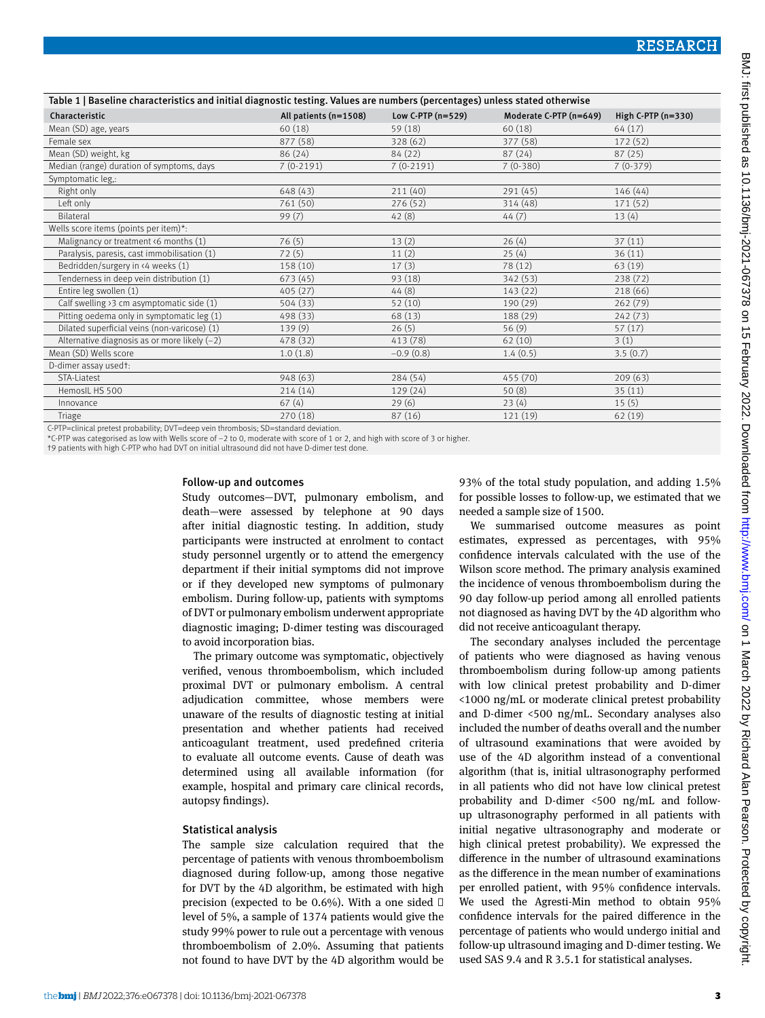| Table 1   Baseline characteristics and initial diagnostic testing. Values are numbers (percentages) unless stated otherwise                                                                                                    |                       |                     |                        |                      |
|--------------------------------------------------------------------------------------------------------------------------------------------------------------------------------------------------------------------------------|-----------------------|---------------------|------------------------|----------------------|
| Characteristic                                                                                                                                                                                                                 | All patients (n=1508) | Low C-PTP $(n=529)$ | Moderate C-PTP (n=649) | High $C-PTP$ (n=330) |
| Mean (SD) age, years                                                                                                                                                                                                           | 60(18)                | 59 (18)             | 60(18)                 | 64 (17)              |
| Female sex                                                                                                                                                                                                                     | 877 (58)              | 328(62)             | 377 (58)               | 172 (52)             |
| Mean (SD) weight, kg                                                                                                                                                                                                           | 86 (24)               | 84 (22)             | 87(24)                 | 87(25)               |
| Median (range) duration of symptoms, days                                                                                                                                                                                      | $7(0-2191)$           | $7(0-2191)$         | $7(0-380)$             | $7(0-379)$           |
| Symptomatic leg,:                                                                                                                                                                                                              |                       |                     |                        |                      |
| Right only                                                                                                                                                                                                                     | 648 (43)              | 211(40)             | 291 (45)               | 146(44)              |
| Left only                                                                                                                                                                                                                      | 761 (50)              | 276(52)             | 314 (48)               | 171(52)              |
| Bilateral                                                                                                                                                                                                                      | 99(7)                 | 42(8)               | 44(7)                  | 13(4)                |
| Wells score items (points per item)*:                                                                                                                                                                                          |                       |                     |                        |                      |
| Malignancy or treatment <6 months (1)                                                                                                                                                                                          | 76(5)                 | 13(2)               | 26(4)                  | 37(11)               |
| Paralysis, paresis, cast immobilisation (1)                                                                                                                                                                                    | 72(5)                 | 11(2)               | 25(4)                  | 36(11)               |
| Bedridden/surgery in <4 weeks (1)                                                                                                                                                                                              | 158 (10)              | 17(3)               | 78 (12)                | 63 (19)              |
| Tenderness in deep vein distribution (1)                                                                                                                                                                                       | 673 (45)              | 93(18)              | 342 (53)               | 238(72)              |
| Entire leg swollen (1)                                                                                                                                                                                                         | 405(27)               | 44(8)               | 143(22)                | 218 (66)             |
| Calf swelling $\frac{3}{2}$ cm asymptomatic side (1)                                                                                                                                                                           | 504 (33)              | 52(10)              | 190 (29)               | 262(79)              |
| Pitting oedema only in symptomatic leg (1)                                                                                                                                                                                     | 498 (33)              | 68 (13)             | 188 (29)               | 242(73)              |
| Dilated superficial veins (non-varicose) (1)                                                                                                                                                                                   | 139(9)                | 26(5)               | 56(9)                  | 57(17)               |
| Alternative diagnosis as or more likely $(-2)$                                                                                                                                                                                 | 478 (32)              | 413 (78)            | 62(10)                 | 3(1)                 |
| Mean (SD) Wells score                                                                                                                                                                                                          | 1.0(1.8)              | $-0.9(0.8)$         | 1.4(0.5)               | 3.5(0.7)             |
| D-dimer assay usedt:                                                                                                                                                                                                           |                       |                     |                        |                      |
| STA-Liatest                                                                                                                                                                                                                    | 948(63)               | 284(54)             | 455 (70)               | 209(63)              |
| HemosIL HS 500                                                                                                                                                                                                                 | 214(14)               | 129(24)             | 50(8)                  | 35(11)               |
| Innovance                                                                                                                                                                                                                      | 67(4)                 | 29(6)               | 23(4)                  | 15(5)                |
| Triage                                                                                                                                                                                                                         | 270(18)               | 87(16)              | 121 (19)               | 62 (19)              |
| oto Prince Prince Details and Prince Prince Prince Prince Prince Prince Prince Prince Prince Prince Prince Prince Prince Prince Prince Prince Prince Prince Prince Prince Prince Prince Prince Prince Prince Prince Prince Pri |                       |                     |                        |                      |

C-PTP=clinical pretest probability; DVT=deep vein thrombosis; SD=standard deviation.

\*C-PTP was categorised as low with Wells score of −2 to 0, moderate with score of 1 or 2, and high with score of 3 or higher.

†9 patients with high C-PTP who had DVT on initial ultrasound did not have D-dimer test done.

#### Follow-up and outcomes

Study outcomes—DVT, pulmonary embolism, and death—were assessed by telephone at 90 days after initial diagnostic testing. In addition, study participants were instructed at enrolment to contact study personnel urgently or to attend the emergency department if their initial symptoms did not improve or if they developed new symptoms of pulmonary embolism. During follow-up, patients with symptoms of DVT or pulmonary embolism underwent appropriate diagnostic imaging; D-dimer testing was discouraged to avoid incorporation bias.

The primary outcome was symptomatic, objectively verified, venous thromboembolism, which included proximal DVT or pulmonary embolism. A central adjudication committee, whose members were unaware of the results of diagnostic testing at initial presentation and whether patients had received anticoagulant treatment, used predefined criteria to evaluate all outcome events. Cause of death was determined using all available information (for example, hospital and primary care clinical records, autopsy findings).

#### Statistical analysis

The sample size calculation required that the percentage of patients with venous thromboembolism diagnosed during follow-up, among those negative for DVT by the 4D algorithm, be estimated with high precision (expected to be  $0.6\%$ ). With a one sided level of 5%, a sample of 1374 patients would give the study 99% power to rule out a percentage with venous thromboembolism of 2.0%. Assuming that patients not found to have DVT by the 4D algorithm would be

93% of the total study population, and adding 1.5% for possible losses to follow-up, we estimated that we needed a sample size of 1500.

We summarised outcome measures as point estimates, expressed as percentages, with 95% confidence intervals calculated with the use of the Wilson score method. The primary analysis examined the incidence of venous thromboembolism during the 90 day follow-up period among all enrolled patients not diagnosed as having DVT by the 4D algorithm who did not receive anticoagulant therapy.

The secondary analyses included the percentage of patients who were diagnosed as having venous thromboembolism during follow-up among patients with low clinical pretest probability and D-dimer <1000 ng/mL or moderate clinical pretest probability and D-dimer <500 ng/mL. Secondary analyses also included the number of deaths overall and the number of ultrasound examinations that were avoided by use of the 4D algorithm instead of a conventional algorithm (that is, initial ultrasonography performed in all patients who did not have low clinical pretest probability and D-dimer <500 ng/mL and followup ultrasonography performed in all patients with initial negative ultrasonography and moderate or high clinical pretest probability). We expressed the difference in the number of ultrasound examinations as the difference in the mean number of examinations per enrolled patient, with 95% confidence intervals. We used the Agresti-Min method to obtain 95% confidence intervals for the paired difference in the percentage of patients who would undergo initial and follow-up ultrasound imaging and D-dimer testing. We used SAS 9.4 and R 3.5.1 for statistical analyses.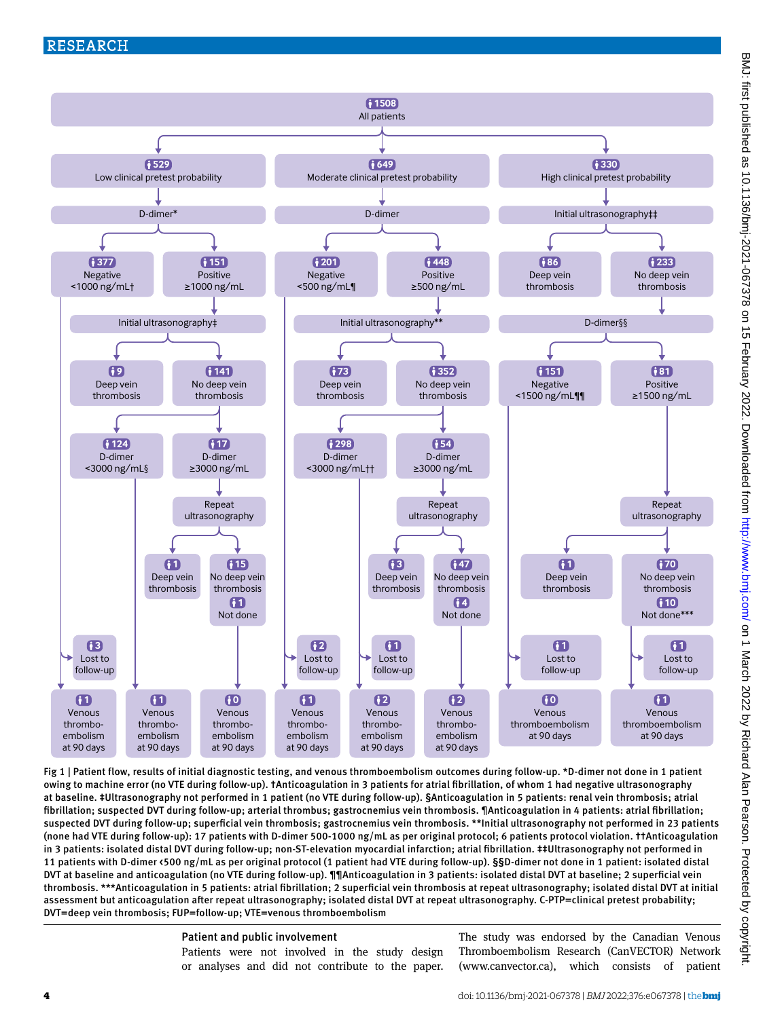

Fig 1 | Patient flow, results of initial diagnostic testing, and venous thromboembolism outcomes during follow-up. \*D-dimer not done in 1 patient owing to machine error (no VTE during follow-up). †Anticoagulation in 3 patients for atrial fibrillation, of whom 1 had negative ultrasonography at baseline. ‡Ultrasonography not performed in 1 patient (no VTE during follow-up). §Anticoagulation in 5 patients: renal vein thrombosis; atrial fibrillation; suspected DVT during follow-up; arterial thrombus; gastrocnemius vein thrombosis. ¶Anticoagulation in 4 patients: atrial fibrillation; suspected DVT during follow-up; superficial vein thrombosis; gastrocnemius vein thrombosis. \*\*Initial ultrasonography not performed in 23 patients (none had VTE during follow-up): 17 patients with D-dimer 500-1000 ng/mL as per original protocol; 6 patients protocol violation. ††Anticoagulation in 3 patients: isolated distal DVT during follow-up; non-ST -elevation myocardial infarction; atrial fibrillation. ‡‡Ultrasonography not performed in 11 patients with D-dimer <500 ng/mL as per original protocol (1 patient had VTE during follow-up). §§D-dimer not done in 1 patient: isolated distal DVT at baseline and anticoagulation (no VTE during follow-up). ¶¶Anticoagulation in 3 patients: isolated distal DVT at baseline; 2 superficial vein thrombosis. \*\*\*Anticoagulation in 5 patients: atrial fibrillation; 2 superficial vein thrombosis at repeat ultrasonography; isolated distal DVT at initial assessment but anticoagulation after repeat ultrasonography; isolated distal DVT at repeat ultrasonography. C-PTP=clinical pretest probability; DVT=deep vein thrombosis; FUP=follow-up; VTE=venous thromboembolism

Patient and public involvement

Patients were not involved in the study design or analyses and did not contribute to the paper. The study was endorsed by the Canadian Venous Thromboembolism Research (CanVECTOR) Network [\(www.canvector.ca](http://www.canvector.ca)), which consists of patient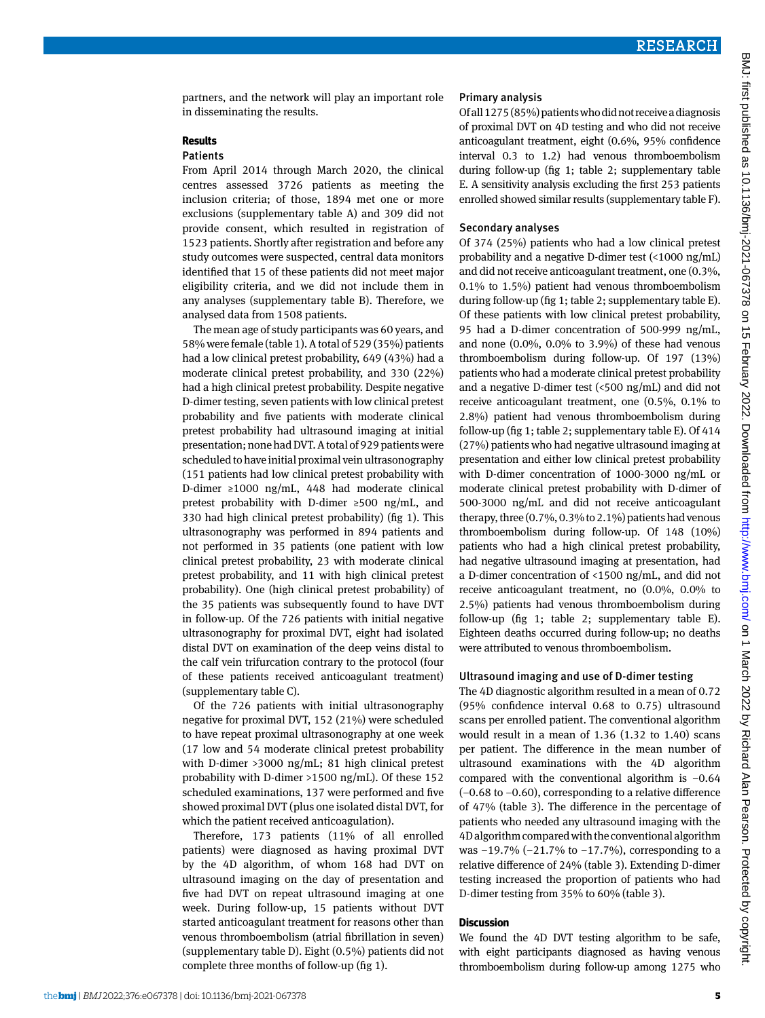partners, and the network will play an important role in disseminating the results.

#### **Results**

#### Patients

From April 2014 through March 2020, the clinical centres assessed 3726 patients as meeting the inclusion criteria; of those, 1894 met one or more exclusions (supplementary table A) and 309 did not provide consent, which resulted in registration of 1523 patients. Shortly after registration and before any study outcomes were suspected, central data monitors identified that 15 of these patients did not meet major eligibility criteria, and we did not include them in any analyses (supplementary table B). Therefore, we analysed data from 1508 patients.

The mean age of study participants was 60 years, and 58% were female (table 1). A total of 529 (35%) patients had a low clinical pretest probability, 649 (43%) had a moderate clinical pretest probability, and 330 (22%) had a high clinical pretest probability. Despite negative D-dimer testing, seven patients with low clinical pretest probability and five patients with moderate clinical pretest probability had ultrasound imaging at initial presentation; none had DVT. A total of 929 patients were scheduled to have initial proximal vein ultrasonography (151 patients had low clinical pretest probability with D-dimer ≥1000 ng/mL, 448 had moderate clinical pretest probability with D-dimer ≥500 ng/mL, and 330 had high clinical pretest probability) (fig 1). This ultrasonography was performed in 894 patients and not performed in 35 patients (one patient with low clinical pretest probability, 23 with moderate clinical pretest probability, and 11 with high clinical pretest probability). One (high clinical pretest probability) of the 35 patients was subsequently found to have DVT in follow-up. Of the 726 patients with initial negative ultrasonography for proximal DVT, eight had isolated distal DVT on examination of the deep veins distal to the calf vein trifurcation contrary to the protocol (four of these patients received anticoagulant treatment) (supplementary table C).

Of the 726 patients with initial ultrasonography negative for proximal DVT, 152 (21%) were scheduled to have repeat proximal ultrasonography at one week (17 low and 54 moderate clinical pretest probability with D-dimer >3000 ng/mL; 81 high clinical pretest probability with D-dimer >1500 ng/mL). Of these 152 scheduled examinations, 137 were performed and five showed proximal DVT (plus one isolated distal DVT, for which the patient received anticoagulation).

Therefore, 173 patients (11% of all enrolled patients) were diagnosed as having proximal DVT by the 4D algorithm, of whom 168 had DVT on ultrasound imaging on the day of presentation and five had DVT on repeat ultrasound imaging at one week. During follow-up, 15 patients without DVT started anticoagulant treatment for reasons other than venous thromboembolism (atrial fibrillation in seven) (supplementary table D). Eight (0.5%) patients did not complete three months of follow-up (fig 1).

#### Primary analysis

Of all 1275 (85%) patients who did not receive a diagnosis of proximal DVT on 4D testing and who did not receive anticoagulant treatment, eight (0.6%, 95% confidence interval 0.3 to 1.2) had venous thromboembolism during follow-up (fig 1; table 2; supplementary table E. A sensitivity analysis excluding the first 253 patients enrolled showed similar results (supplementary table F).

#### Secondary analyses

Of 374 (25%) patients who had a low clinical pretest probability and a negative D-dimer test (<1000 ng/mL) and did not receive anticoagulant treatment, one (0.3%, 0.1% to 1.5%) patient had venous thromboembolism during follow-up (fig 1; table 2; supplementary table E). Of these patients with low clinical pretest probability, 95 had a D-dimer concentration of 500-999 ng/mL, and none (0.0%, 0.0% to 3.9%) of these had venous thromboembolism during follow-up. Of 197 (13%) patients who had a moderate clinical pretest probability and a negative D-dimer test  $\left($  <500 ng/mL) and did not receive anticoagulant treatment, one (0.5%, 0.1% to 2.8%) patient had venous thromboembolism during follow-up (fig 1; table 2; supplementary table E). Of 414 (27%) patients who had negative ultrasound imaging at presentation and either low clinical pretest probability with D-dimer concentration of 1000-3000 ng/mL or moderate clinical pretest probability with D-dimer of 500-3000 ng/mL and did not receive anticoagulant therapy, three (0.7%, 0.3% to 2.1%) patients had venous thromboembolism during follow-up. Of 148 (10%) patients who had a high clinical pretest probability, had negative ultrasound imaging at presentation, had a D-dimer concentration of <1500 ng/mL, and did not receive anticoagulant treatment, no (0.0%, 0.0% to 2.5%) patients had venous thromboembolism during follow-up (fig 1; table 2; supplementary table E). Eighteen deaths occurred during follow-up; no deaths were attributed to venous thromboembolism.

#### Ultrasound imaging and use of D-dimer testing

The 4D diagnostic algorithm resulted in a mean of 0.72 (95% confidence interval 0.68 to 0.75) ultrasound scans per enrolled patient. The conventional algorithm would result in a mean of 1.36 (1.32 to 1.40) scans per patient. The difference in the mean number of ultrasound examinations with the 4D algorithm compared with the conventional algorithm is −0.64 (−0.68 to −0.60), corresponding to a relative difference of 47% (table 3). The difference in the percentage of patients who needed any ultrasound imaging with the 4D algorithm compared with the conventional algorithm was -19.7% (-21.7% to -17.7%), corresponding to a relative difference of 24% (table 3). Extending D-dimer testing increased the proportion of patients who had D-dimer testing from 35% to 60% (table 3).

## **Discussion**

We found the 4D DVT testing algorithm to be safe, with eight participants diagnosed as having venous thromboembolism during follow-up among 1275 who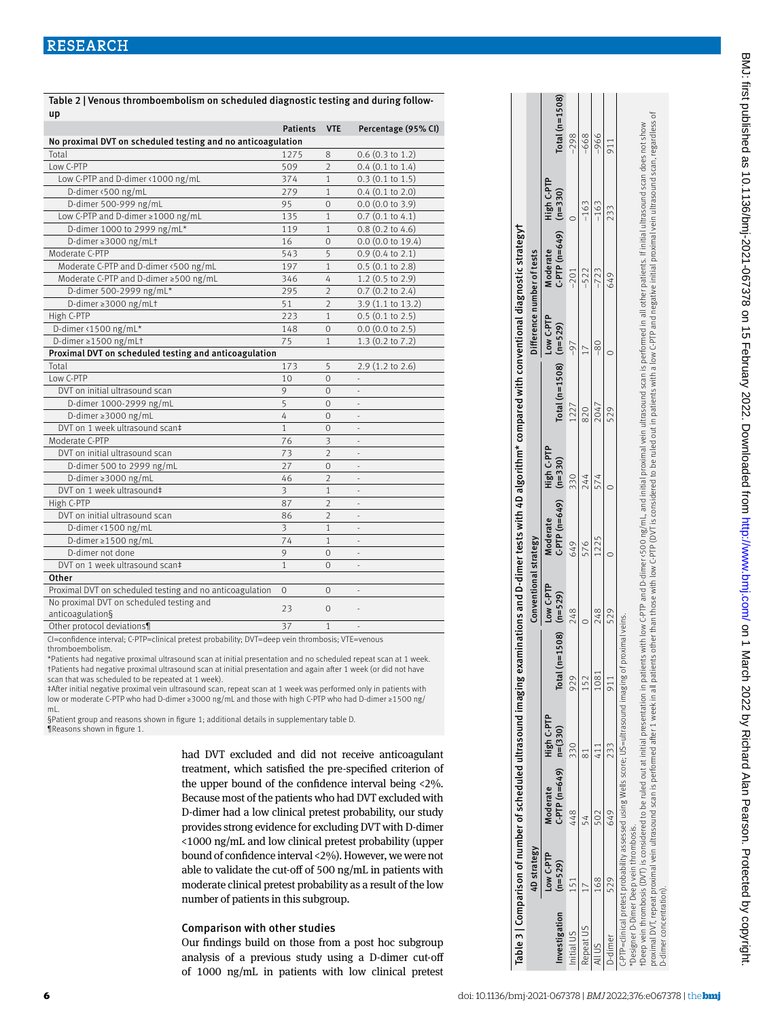|                                                              | <b>Patients</b> | <b>VTE</b>     | Percentage (95% CI)          |
|--------------------------------------------------------------|-----------------|----------------|------------------------------|
| No proximal DVT on scheduled testing and no anticoagulation  |                 |                |                              |
| Total                                                        | 1275            | 8              | $0.6$ (0.3 to 1.2)           |
| Low C-PTP                                                    | 509             | $\mathcal{P}$  | $0.4$ (0.1 to 1.4)           |
| Low C-PTP and D-dimer <1000 ng/mL                            | 374             | $\mathbf{1}$   | $0.3$ (0.1 to 1.5)           |
| D-dimer <500 ng/mL                                           | 279             | $\mathbf{1}$   | $0.4$ (0.1 to 2.0)           |
| D-dimer 500-999 ng/mL                                        | 95              | $\mathbf 0$    | $0.0$ (0.0 to 3.9)           |
| Low C-PTP and D-dimer ≥1000 ng/mL                            | 135             | $\mathbf{1}$   | $0.7$ (0.1 to 4.1)           |
| D-dimer 1000 to 2999 ng/mL*                                  | 119             | $\mathbf{1}$   | $0.8$ (0.2 to 4.6)           |
| D-dimer ≥3000 ng/mLt                                         | 16              | $\Omega$       | $0.0$ (0.0 to 19.4)          |
| Moderate C-PTP                                               | 543             | 5              | $0.9$ (0.4 to 2.1)           |
| Moderate C-PTP and D-dimer <500 ng/mL                        | 197             | $\mathbf{1}$   | $0.5$ (0.1 to 2.8)           |
| Moderate C-PTP and D-dimer ≥500 ng/mL                        | 346             | 4              | $1.2$ (0.5 to 2.9)           |
| D-dimer 500-2999 ng/mL*                                      | 295             | $\overline{2}$ | $0.7$ (0.2 to 2.4)           |
| D-dimer ≥3000 ng/mLt                                         | 51              | $\overline{2}$ | 3.9 (1.1 to 13.2)            |
| High C-PTP                                                   | 223             | 1              | $0.5$ (0.1 to 2.5)           |
| D-dimer <1500 ng/mL*                                         | 148             | $\mathbf 0$    | $0.0$ (0.0 to 2.5)           |
| D-dimer $\geq$ 1500 ng/mLt                                   | 75              | 1              | $1.3$ (0.2 to 7.2)           |
| Proximal DVT on scheduled testing and anticoagulation        |                 |                |                              |
| Total                                                        | 173             | 5              | 2.9 (1.2 to 2.6)             |
| Low C-PTP                                                    | 10              | $\overline{0}$ |                              |
| DVT on initial ultrasound scan                               | 9               | $\mathbf 0$    |                              |
| D-dimer 1000-2999 ng/mL                                      | 5               | $\mathbf 0$    |                              |
| D-dimer ≥3000 ng/mL                                          | 4               | $\Omega$       | $\blacksquare$               |
| DVT on 1 week ultrasound scan‡                               | 1               | $\mathbf{0}$   | $\qquad \qquad \blacksquare$ |
| Moderate C-PTP                                               | 76              | 3              |                              |
| DVT on initial ultrasound scan                               | 73              | $\overline{2}$ |                              |
| D-dimer 500 to 2999 ng/mL                                    | 27              | $\mathbf{0}$   | ÷                            |
| D-dimer ≥3000 ng/mL                                          | 46              | $\overline{2}$ |                              |
| DVT on 1 week ultrasound‡                                    | 3               | $\mathbf{1}$   |                              |
| High C-PTP                                                   | 87              | $\mathfrak{D}$ | ÷,                           |
| DVT on initial ultrasound scan                               | 86              | $\overline{2}$ | $\overline{\phantom{m}}$     |
| D-dimer <1500 ng/mL                                          | 3               | $\mathbf{1}$   |                              |
| D-dimer $\ge$ 1500 ng/mL                                     | 74              | $\mathbf{1}$   | ä,                           |
| D-dimer not done                                             | 9               | $\mathbf{0}$   | ä,                           |
| DVT on 1 week ultrasound scan‡                               | $\mathbf{1}$    | $\Omega$       |                              |
| Other                                                        |                 |                |                              |
| Proximal DVT on scheduled testing and no anticoagulation     | $\mathbf 0$     | $\mathbf{0}$   | ÷,                           |
| No proximal DVT on scheduled testing and<br>anticoagulation§ | 23              | $\mathbf{0}$   |                              |

Table 2 | Venous thromboembolism on scheduled diagnostic testing and during followup

CI=confidence interval; C-PTP=clinical pretest probability; DVT=deep vein thrombosis; VTE=venous thromboembolism.

\*Patients had negative proximal ultrasound scan at initial presentation and no scheduled repeat scan at 1 week. †Patients had negative proximal ultrasound scan at initial presentation and again after 1 week (or did not have scan that was scheduled to be repeated at 1 week).

‡After initial negative proximal vein ultrasound scan, repeat scan at 1 week was performed only in patients with low or moderate C-PTP who had D-dimer ≥3000 ng/mL and those with high C-PTP who had D-dimer ≥1500 ng/ mL.

§Patient group and reasons shown in figure 1; additional details in supplementary table D. ¶Reasons shown in figure 1.

Other protocol deviations¶ 37 1 37

had DVT excluded and did not receive anticoagulant treatment, which satisfied the pre-specified criterion of the upper bound of the confidence interval being <2%. Because most of the patients who had DVT excluded with D-dimer had a low clinical pretest probability, our study provides strong evidence for excluding DVT with D-dimer <1000 ng/mL and low clinical pretest probability (upper bound of confidence interval <2%). However, we were not able to validate the cut-off of 500 ng/mL in patients with moderate clinical pretest probability as a result of the low number of patients in this subgroup.

#### Comparison with other studies

Our findings build on those from a post hoc subgroup analysis of a previous study using a D-dimer cut-off of 1000 ng/mL in patients with low clinical pretest

|                                                                   |                        | Table 3   Comparison of number of scheduled ultrasound imaging examinations and D-dimer tests with 4D algorithm* compared with conventional diagnostic strategyt                                                                                                                                                                                                                                                                                                                                                                                                            |            |                                      |                       |                                         |            |                              |                            |                                     |            |                 |
|-------------------------------------------------------------------|------------------------|-----------------------------------------------------------------------------------------------------------------------------------------------------------------------------------------------------------------------------------------------------------------------------------------------------------------------------------------------------------------------------------------------------------------------------------------------------------------------------------------------------------------------------------------------------------------------------|------------|--------------------------------------|-----------------------|-----------------------------------------|------------|------------------------------|----------------------------|-------------------------------------|------------|-----------------|
|                                                                   | 4D strategy            |                                                                                                                                                                                                                                                                                                                                                                                                                                                                                                                                                                             |            |                                      | Conventional strategy |                                         |            |                              | Difference number of tests |                                     |            |                 |
| Investigation                                                     | Low C-PTP<br>$(n=529)$ | $C-PTP(n=649)$ $n=(330)$<br>Moderate                                                                                                                                                                                                                                                                                                                                                                                                                                                                                                                                        | High C-PTP | $(n=1508)$ $(n=529)$<br><b>Total</b> | Low C-PTP             | $C-PTP$ $(n=649)$ $(n=330)$<br>Moderate | High C-PTP | Total ( $n=1508$ ) $(n=529)$ | Low C-PTP                  | $C. PTP(n=649)$ (n=330)<br>Moderate | High C-PTP | $Total(n=1508)$ |
| Initial US                                                        |                        | 448                                                                                                                                                                                                                                                                                                                                                                                                                                                                                                                                                                         | 330        | 929                                  | 248                   | 649                                     | 330        | 1227                         | $-97$                      | -201                                |            | $-298$          |
| Repeat US                                                         |                        |                                                                                                                                                                                                                                                                                                                                                                                                                                                                                                                                                                             |            | 152                                  |                       | 576                                     | 244        | 820                          |                            | $-522$                              | $-163$     | -668            |
| JIII                                                              | 168                    |                                                                                                                                                                                                                                                                                                                                                                                                                                                                                                                                                                             |            | 1081                                 | 248                   | 1225                                    | 574        | 2047                         | $-80$                      | $-723$                              | $-163$     | $-966$          |
| J-dimer                                                           | 529                    | 649                                                                                                                                                                                                                                                                                                                                                                                                                                                                                                                                                                         | 733        |                                      | 529                   |                                         |            | 529                          |                            | 649                                 | 233        | 911             |
| Designer D-Dimer Deep vein thrombosis.<br>D-dimer concentration). |                        | proximal DVT, repeat proximal vein ultrasound scan is performed after 1 week in all patients other than those with low C-PTP (II) is considered to be ruled out in patients with a low C-PTP and negative initial proximal vei<br>rDeep vein thrombosis (DVT) is considered to be ruled out at initial presentation in patients with low C+PTP and D-dimer vel initial proximal vein ultrasound scan is performed in all other patients. If initial ultrasound s<br>c-PTP=clinical pretest probability assessed using Wells score; US=ultrasound imaging of proximal veins. |            |                                      |                       |                                         |            |                              |                            |                                     |            |                 |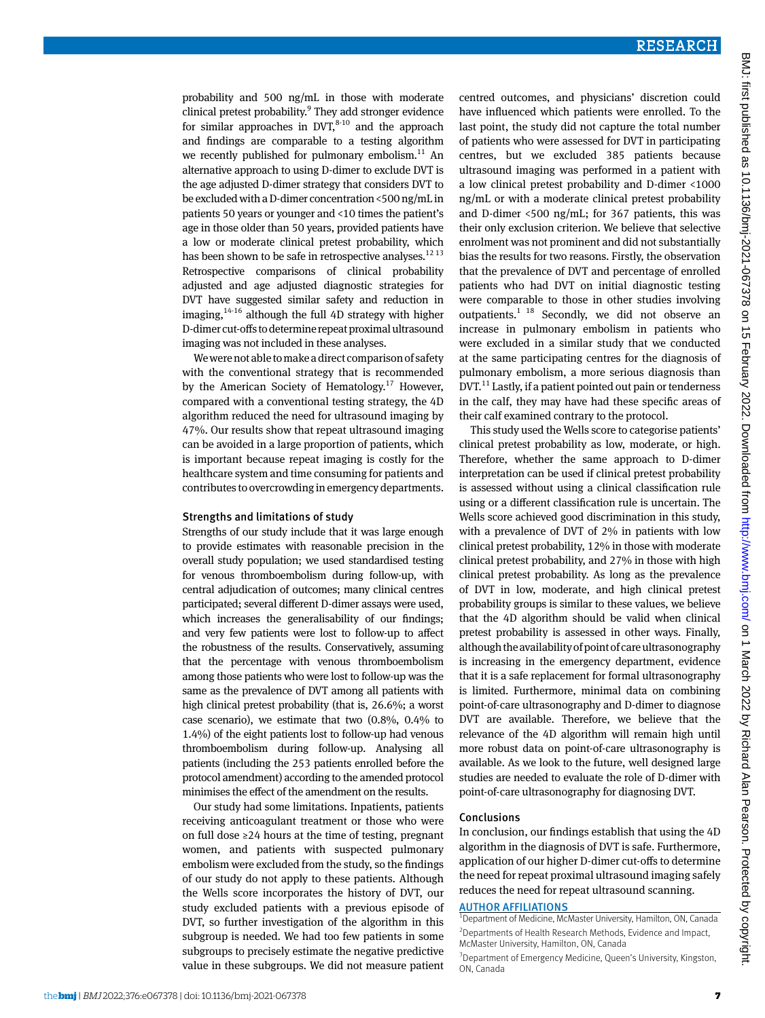probability and 500 ng/mL in those with moderate clinical pretest probability.<sup>9</sup> They add stronger evidence for similar approaches in  $DVT$ ,  $8-10$  and the approach and findings are comparable to a testing algorithm we recently published for pulmonary embolism. $^{11}$  An alternative approach to using D-dimer to exclude DVT is the age adjusted D-dimer strategy that considers DVT to be excluded with a D-dimer concentration <500 ng/mL in patients 50 years or younger and <10 times the patient's age in those older than 50 years, provided patients have a low or moderate clinical pretest probability, which has been shown to be safe in retrospective analyses.<sup>12 13</sup> Retrospective comparisons of clinical probability adjusted and age adjusted diagnostic strategies for DVT have suggested similar safety and reduction in imaging, $14-16$  although the full 4D strategy with higher D-dimer cut-offs to determine repeat proximal ultrasound imaging was not included in these analyses.

We were not able to make a direct comparison of safety with the conventional strategy that is recommended by the American Society of Hematology.<sup>17</sup> However, compared with a conventional testing strategy, the 4D algorithm reduced the need for ultrasound imaging by 47%. Our results show that repeat ultrasound imaging can be avoided in a large proportion of patients, which is important because repeat imaging is costly for the healthcare system and time consuming for patients and contributes to overcrowding in emergency departments.

#### Strengths and limitations of study

Strengths of our study include that it was large enough to provide estimates with reasonable precision in the overall study population; we used standardised testing for venous thromboembolism during follow-up, with central adjudication of outcomes; many clinical centres participated; several different D-dimer assays were used, which increases the generalisability of our findings; and very few patients were lost to follow-up to affect the robustness of the results. Conservatively, assuming that the percentage with venous thromboembolism among those patients who were lost to follow-up was the same as the prevalence of DVT among all patients with high clinical pretest probability (that is, 26.6%; a worst case scenario), we estimate that two (0.8%, 0.4% to 1.4%) of the eight patients lost to follow-up had venous thromboembolism during follow-up. Analysing all patients (including the 253 patients enrolled before the protocol amendment) according to the amended protocol minimises the effect of the amendment on the results.

Our study had some limitations. Inpatients, patients receiving anticoagulant treatment or those who were on full dose ≥24 hours at the time of testing, pregnant women, and patients with suspected pulmonary embolism were excluded from the study, so the findings of our study do not apply to these patients. Although the Wells score incorporates the history of DVT, our study excluded patients with a previous episode of DVT, so further investigation of the algorithm in this subgroup is needed. We had too few patients in some subgroups to precisely estimate the negative predictive value in these subgroups. We did not measure patient centred outcomes, and physicians' discretion could have influenced which patients were enrolled. To the last point, the study did not capture the total number of patients who were assessed for DVT in participating centres, but we excluded 385 patients because ultrasound imaging was performed in a patient with a low clinical pretest probability and D-dimer <1000 ng/mL or with a moderate clinical pretest probability and D-dimer <500 ng/mL; for 367 patients, this was their only exclusion criterion. We believe that selective enrolment was not prominent and did not substantially bias the results for two reasons. Firstly, the observation that the prevalence of DVT and percentage of enrolled patients who had DVT on initial diagnostic testing were comparable to those in other studies involving outpatients.<sup>1 18</sup> Secondly, we did not observe an increase in pulmonary embolism in patients who were excluded in a similar study that we conducted at the same participating centres for the diagnosis of pulmonary embolism, a more serious diagnosis than  $DVT<sup>11</sup>$  Lastly, if a patient pointed out pain or tenderness in the calf, they may have had these specific areas of their calf examined contrary to the protocol.

This study used the Wells score to categorise patients' clinical pretest probability as low, moderate, or high. Therefore, whether the same approach to D-dimer interpretation can be used if clinical pretest probability is assessed without using a clinical classification rule using or a different classification rule is uncertain. The Wells score achieved good discrimination in this study, with a prevalence of DVT of 2% in patients with low clinical pretest probability, 12% in those with moderate clinical pretest probability, and 27% in those with high clinical pretest probability. As long as the prevalence of DVT in low, moderate, and high clinical pretest probability groups is similar to these values, we believe that the 4D algorithm should be valid when clinical pretest probability is assessed in other ways. Finally, although the availability of point of care ultrasonography is increasing in the emergency department, evidence that it is a safe replacement for formal ultrasonography is limited. Furthermore, minimal data on combining point-of-care ultrasonography and D-dimer to diagnose DVT are available. Therefore, we believe that the relevance of the 4D algorithm will remain high until more robust data on point-of-care ultrasonography is available. As we look to the future, well designed large studies are needed to evaluate the role of D-dimer with point-of-care ultrasonography for diagnosing DVT.

#### Conclusions

In conclusion, our findings establish that using the 4D algorithm in the diagnosis of DVT is safe. Furthermore, application of our higher D-dimer cut-offs to determine the need for repeat proximal ultrasound imaging safely reduces the need for repeat ultrasound scanning.

#### **AUTHOR AFFILIATIONS**

 $^1$ Department of Medicine, McMaster University, Hamilton, ON, Canada <sup>2</sup> Departments of Health Research Methods, Evidence and Impact, McMaster University, Hamilton, ON, Canada

<sup>&</sup>lt;sup>3</sup> Department of Emergency Medicine, Queen's University, Kingston, ON, Canada